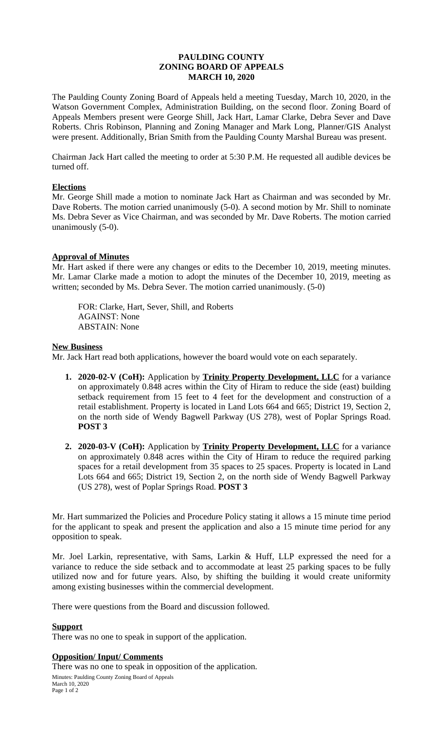# **PAULDING COUNTY ZONING BOARD OF APPEALS MARCH 10, 2020**

The Paulding County Zoning Board of Appeals held a meeting Tuesday, March 10, 2020, in the Watson Government Complex, Administration Building, on the second floor. Zoning Board of Appeals Members present were George Shill, Jack Hart, Lamar Clarke, Debra Sever and Dave Roberts. Chris Robinson, Planning and Zoning Manager and Mark Long, Planner/GIS Analyst were present. Additionally, Brian Smith from the Paulding County Marshal Bureau was present.

Chairman Jack Hart called the meeting to order at 5:30 P.M. He requested all audible devices be turned off.

## **Elections**

Mr. George Shill made a motion to nominate Jack Hart as Chairman and was seconded by Mr. Dave Roberts. The motion carried unanimously (5-0). A second motion by Mr. Shill to nominate Ms. Debra Sever as Vice Chairman, and was seconded by Mr. Dave Roberts. The motion carried unanimously (5-0).

## **Approval of Minutes**

Mr. Hart asked if there were any changes or edits to the December 10, 2019, meeting minutes. Mr. Lamar Clarke made a motion to adopt the minutes of the December 10, 2019, meeting as written; seconded by Ms. Debra Sever. The motion carried unanimously. (5-0)

FOR: Clarke, Hart, Sever, Shill, and Roberts AGAINST: None ABSTAIN: None

#### **New Business**

Mr. Jack Hart read both applications, however the board would vote on each separately.

- **1. 2020-02-V (CoH):** Application by **Trinity Property Development, LLC** for a variance on approximately 0.848 acres within the City of Hiram to reduce the side (east) building setback requirement from 15 feet to 4 feet for the development and construction of a retail establishment. Property is located in Land Lots 664 and 665; District 19, Section 2, on the north side of Wendy Bagwell Parkway (US 278), west of Poplar Springs Road. **POST 3**
- **2. 2020-03-V (CoH):** Application by **Trinity Property Development, LLC** for a variance on approximately 0.848 acres within the City of Hiram to reduce the required parking spaces for a retail development from 35 spaces to 25 spaces. Property is located in Land Lots 664 and 665; District 19, Section 2, on the north side of Wendy Bagwell Parkway (US 278), west of Poplar Springs Road. **POST 3**

Mr. Hart summarized the Policies and Procedure Policy stating it allows a 15 minute time period for the applicant to speak and present the application and also a 15 minute time period for any opposition to speak.

Mr. Joel Larkin, representative, with Sams, Larkin & Huff, LLP expressed the need for a variance to reduce the side setback and to accommodate at least 25 parking spaces to be fully utilized now and for future years. Also, by shifting the building it would create uniformity among existing businesses within the commercial development.

There were questions from the Board and discussion followed.

#### **Support**

There was no one to speak in support of the application.

## **Opposition/ Input/ Comments**

Minutes: Paulding County Zoning Board of Appeals March 10, 2020 Page 1 of 2 There was no one to speak in opposition of the application.